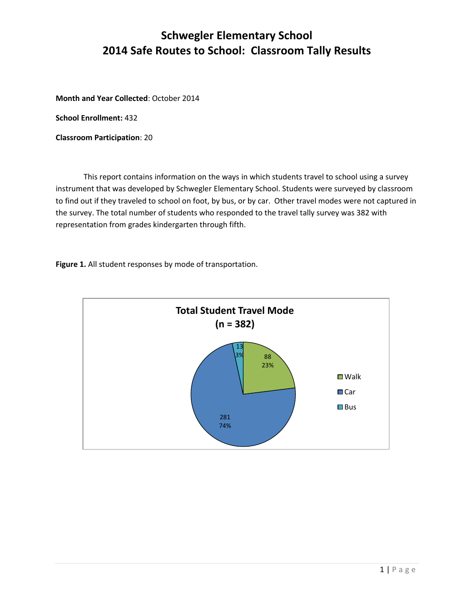## **Schwegler Elementary School 2014 Safe Routes to School: Classroom Tally Results**

**Month and Year Collected**: October 2014

**School Enrollment:** 432

**Classroom Participation**: 20

This report contains information on the ways in which students travel to school using a survey instrument that was developed by Schwegler Elementary School. Students were surveyed by classroom to find out if they traveled to school on foot, by bus, or by car. Other travel modes were not captured in the survey. The total number of students who responded to the travel tally survey was 382 with representation from grades kindergarten through fifth.

**Figure 1.** All student responses by mode of transportation.